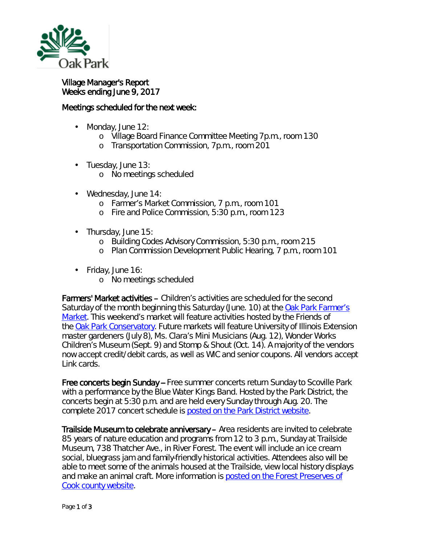

Village Manager's Report Weeks ending June 9, 2017

## Meetings scheduled for the next week:

- ä, Monday, June 12:
	- o Village Board Finance Committee Meeting 7p.m., room 130
	- o Transportation Commission, 7p.m., room 201
- Tuesday, June 13: ä,
	- o No meetings scheduled
- ä, Wednesday, June 14:
	- o Farmer's Market Commission, 7 p.m., room 101
	- o Fire and Police Commission, 5:30 p.m., room 123
- $\cdot$  Thursday, June 15:
	- o Building Codes Advisory Commission, 5:30 p.m., room 215
	- o Plan Commission Development Public Hearing, 7 p.m., room 101
- Friday, June 16:  $\mathbf{L}^{\text{max}}$ 
	- o No meetings scheduled

Farmers' Market activities – Children's activities are scheduled for the second Saturday of the month beginning this Saturday (June. 10) at the [Oak Park Farmer's](http://www.oak-park.us/our-community/oak-park-farmers-market)  [Market.](http://www.oak-park.us/our-community/oak-park-farmers-market) This weekend's market will feature activities hosted by the Friends of the [Oak Park Conservatory.](http://r20.rs6.net/tn.jsp?f=001NoqF5AIR4OK1htpDNaMUMtNa7PgV4KX25Gk3U7TI4t-eT8bh-2HnaZwYZM5475mxoRqKKr1e0dJLNNUfBmirZGL5RXy6B_3KqPaxI_OOaxuvU9dWZJwV5JIaeG3gydyOwGU6_ixJ7TyRWARyGSFwS2he_mrTSKEFrNqbwXH6fuRl9CubA8d4f1WPwRNLIFLsFy00hkGwgHaN31XtLlea88_Qff6YRCK5VVtJTicymPlBNW_qB6lB8KxqDwLMwP8wM9TlBkfCnvIdvmAVBviCD6wUxxKSezzxp3dGYuj5wYeje_F4rKIRIH9lUzxc13Q6&c=oii9kdPmDMM2WqOyRlhhpK_-07t8gx8i99PwAx44zSRYvkWx2wgPAw==&ch=RDAsgDLxBZrFDUAb_-hM3b6AghYM2NqFprDqXC7s2fK3eTCdQlD06Q==) Future markets will feature University of Illinois Extension master gardeners (July 8), Ms. Clara's Mini Musicians (Aug. 12), Wonder Works Children's Museum (Sept. 9) and Stomp & Shout (Oct. 14). A majority of the vendors now accept credit/debit cards, as well as WIC and senior coupons. All vendors accept Link cards.

Free concerts begin Sunday -- Free summer concerts return Sunday to Scoville Park with a performance by the *Blue Water Kings Band*. Hosted by the Park District, the concerts begin at 5:30 p.m. and are held every Sunday through Aug. 20. The complete 2017 concert schedule is [posted on the Park District website.](http://r20.rs6.net/tn.jsp?f=001NoqF5AIR4OK1htpDNaMUMtNa7PgV4KX25Gk3U7TI4t-eT8bh-2HnaZwYZM5475mxrYjhq8p5MVoSeCF3p_mjyGQgKmom21XdHHDbR4LhsqkSmhx-S35dSiPEdG0uX2m6WiiesJeY40iqoR2CVulf91gm6RkmdiS9q84s9CHQIpUB9y75N_Vu2wiqSCsZpMd81ll0Xord-Ny85qytN-g0dAMLI-9WkH3aTCqQxHb2_DAAI4h_xD7674cdmbzoipPuKR_F5edZDFfayRz3zVegNEopFoY9WwtcQuQPgm-qni9KEnV48mpcjA==&c=oii9kdPmDMM2WqOyRlhhpK_-07t8gx8i99PwAx44zSRYvkWx2wgPAw==&ch=RDAsgDLxBZrFDUAb_-hM3b6AghYM2NqFprDqXC7s2fK3eTCdQlD06Q==)

Trailside Museum to celebrate anniversary – Area residents are invited to celebrate 85 years of nature education and programs from 12 to 3 p.m., Sunday at Trailside Museum, 738 Thatcher Ave., in River Forest. The event will include an ice cream social, bluegrass jam and family-friendly historical activities. Attendees also will be able to meet some of the animals housed at the Trailside, view local history displays and make an animal craft. More information is posted on the Forest Preserves of [Cook county website.](http://r20.rs6.net/tn.jsp?f=001NoqF5AIR4OK1htpDNaMUMtNa7PgV4KX25Gk3U7TI4t-eT8bh-2HnaZwYZM5475mxsd2AG7TV_Ap76O3bGpgJiaWltc5vKG4oRso_JAJkm60R9F_xLgsvFM1vTByqeY_V3-YNJZOLZtMyg2GLXu1JU4x7GELqtDCw7EqwX7Q-nKH8JR28HcSOt6A8Etpyrcmq46LSOPj36Vxs9odqd6T52WoedXvlMsEBUzxgdw5RT5aON_Amtav_dozO90lsD_lNxxjP3yRoswUkkP_s2XeHwAeuqEjs4vTK_-2dghgXkQZlRXp189NrdGvTqp2QW6AjtFCGodz5PE-9iFQeQaDJexFutoQVhzC-sHOHZB-zwcoB3B3UEhY1xA==&c=oii9kdPmDMM2WqOyRlhhpK_-07t8gx8i99PwAx44zSRYvkWx2wgPAw==&ch=RDAsgDLxBZrFDUAb_-hM3b6AghYM2NqFprDqXC7s2fK3eTCdQlD06Q==)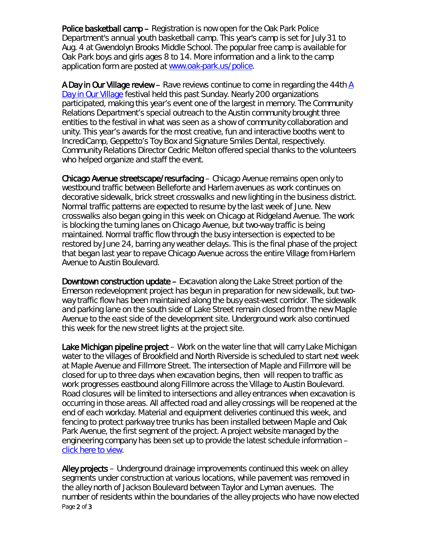Police basketball camp – Registration is now open for the Oak Park Police Department's annual youth basketball camp. This year's camp is set for July 31 to Aug. 4 at Gwendolyn Brooks Middle School. The popular free camp is available for Oak Park boys and girls ages 8 to 14. More information and a link to the camp application form are posted at [www.oak-park.us/police.](http://r20.rs6.net/tn.jsp?f=001NoqF5AIR4OK1htpDNaMUMtNa7PgV4KX25Gk3U7TI4t-eT8bh-2HnafB2ZXCpOOX_DDDIDMLR-Fwihc2Q4GNgM66qYvSk7CpC4SsV_7rmaFYNP6jasUyN-F0Pa97Bsb_ivkxGy3t67K3z91VvMiP2JtcMpeXKsjpZP_CF-IsFX--l_UlrO4B10J9TpDnjc1DEYCPUU222XB4-wKD5gPkMAMfk7_fq9YZQ5evaYDMyOF2FN6ihI7oI6xOc8Xw_-LjNGF9SxOpcanoTaxtVQpGfnrfDkVHDHbZu&c=oii9kdPmDMM2WqOyRlhhpK_-07t8gx8i99PwAx44zSRYvkWx2wgPAw==&ch=RDAsgDLxBZrFDUAb_-hM3b6AghYM2NqFprDqXC7s2fK3eTCdQlD06Q==)

A Day in Our Village review – Rave reviews continue to come in regarding the 44th [A](http://www.oak-park.us/our-community/special-events/day-our-village)  [Day in Our Village](http://www.oak-park.us/our-community/special-events/day-our-village) festival held this past Sunday. Nearly 200 organizations participated, making this year's event one of the largest in memory. The Community Relations Department's special outreach to the Austin community brought three entities to the festival in what was seen as a show of community collaboration and unity. This year's awards for the most creative, fun and interactive booths went to IncrediCamp, Geppetto's Toy Box and Signature Smiles Dental, respectively. Community Relations Director Cedric Melton offered special thanks to the volunteers who helped organize and staff the event.

Chicago Avenue streetscape/resurfacing – Chicago Avenue remains open only to westbound traffic between Belleforte and Harlem avenues as work continues on decorative sidewalk, brick street crosswalks and new lighting in the business district. Normal traffic patterns are expected to resume by the last week of June. New crosswalks also began going in this week on Chicago at Ridgeland Avenue. The work is blocking the turning lanes on Chicago Avenue, but two-way traffic is being maintained. Normal traffic flow through the busy intersection is expected to be restored by June 24, barring any weather delays. This is the final phase of the project that began last year to repave Chicago Avenue across the entire Village from Harlem Avenue to Austin Boulevard.

Downtown construction update – Excavation along the Lake Street portion of the Emerson redevelopment project has begun in preparation for new sidewalk, but twoway traffic flow has been maintained along the busy east-west corridor. The sidewalk and parking lane on the south side of Lake Street remain closed from the new Maple Avenue to the east side of the development site. Underground work also continued this week for the new street lights at the project site.

Lake Michigan pipeline project – Work on the water line that will carry Lake Michigan water to the villages of Brookfield and North Riverside is scheduled to start next week at Maple Avenue and Fillmore Street. The intersection of Maple and Fillmore will be closed for up to three days when excavation begins, then will reopen to traffic as work progresses eastbound along Fillmore across the Village to Austin Boulevard. Road closures will be limited to intersections and alley entrances when excavation is occurring in those areas. All affected road and alley crossings will be reopened at the end of each workday. Material and equipment deliveries continued this week, and fencing to protect parkway tree trunks has been installed between Maple and Oak Park Avenue, the first segment of the project. A project website managed by the engineering company has been set up to provide the latest schedule information – [click here to view.](http://www.bnrwcproject.com/index.php?/categories/5-Oak-Park)

Page 2 of 3 Alley projects – Underground drainage improvements continued this week on alley segments under construction at various locations, while pavement was removed in the alley north of Jackson Boulevard between Taylor and Lyman avenues. The number of residents within the boundaries of the alley projects who have now elected